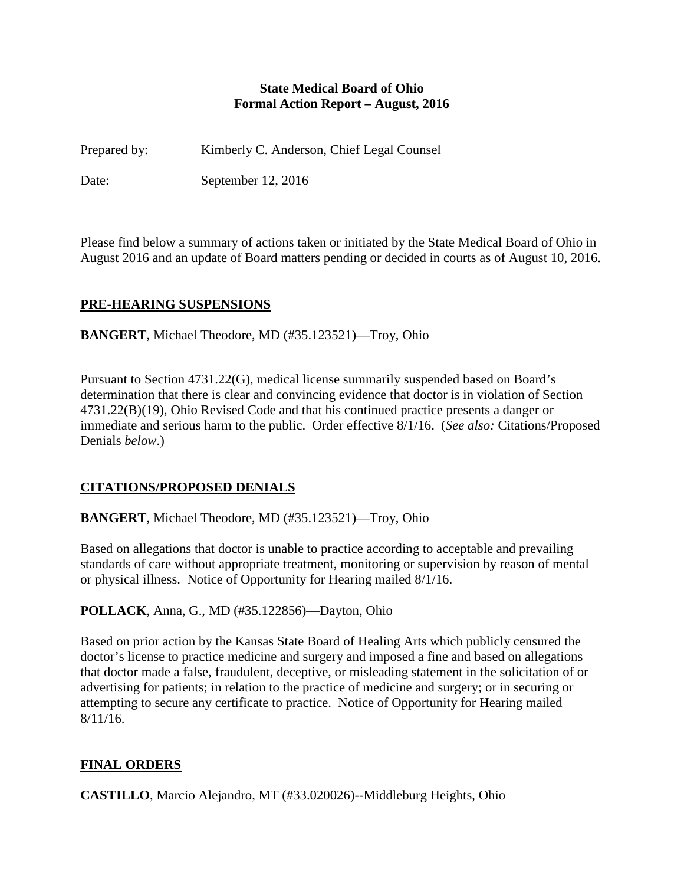#### **State Medical Board of Ohio Formal Action Report – August, 2016**

Prepared by: Kimberly C. Anderson, Chief Legal Counsel

Date: September 12, 2016

Please find below a summary of actions taken or initiated by the State Medical Board of Ohio in August 2016 and an update of Board matters pending or decided in courts as of August 10, 2016.

## **PRE-HEARING SUSPENSIONS**

**BANGERT**, Michael Theodore, MD (#35.123521)—Troy, Ohio

Pursuant to Section 4731.22(G), medical license summarily suspended based on Board's determination that there is clear and convincing evidence that doctor is in violation of Section 4731.22(B)(19), Ohio Revised Code and that his continued practice presents a danger or immediate and serious harm to the public. Order effective 8/1/16. (*See also:* Citations/Proposed Denials *below*.)

# **CITATIONS/PROPOSED DENIALS**

**BANGERT**, Michael Theodore, MD (#35.123521)—Troy, Ohio

Based on allegations that doctor is unable to practice according to acceptable and prevailing standards of care without appropriate treatment, monitoring or supervision by reason of mental or physical illness. Notice of Opportunity for Hearing mailed 8/1/16.

**POLLACK**, Anna, G., MD (#35.122856)—Dayton, Ohio

Based on prior action by the Kansas State Board of Healing Arts which publicly censured the doctor's license to practice medicine and surgery and imposed a fine and based on allegations that doctor made a false, fraudulent, deceptive, or misleading statement in the solicitation of or advertising for patients; in relation to the practice of medicine and surgery; or in securing or attempting to secure any certificate to practice. Notice of Opportunity for Hearing mailed 8/11/16.

# **FINAL ORDERS**

**CASTILLO**, Marcio Alejandro, MT (#33.020026)--Middleburg Heights, Ohio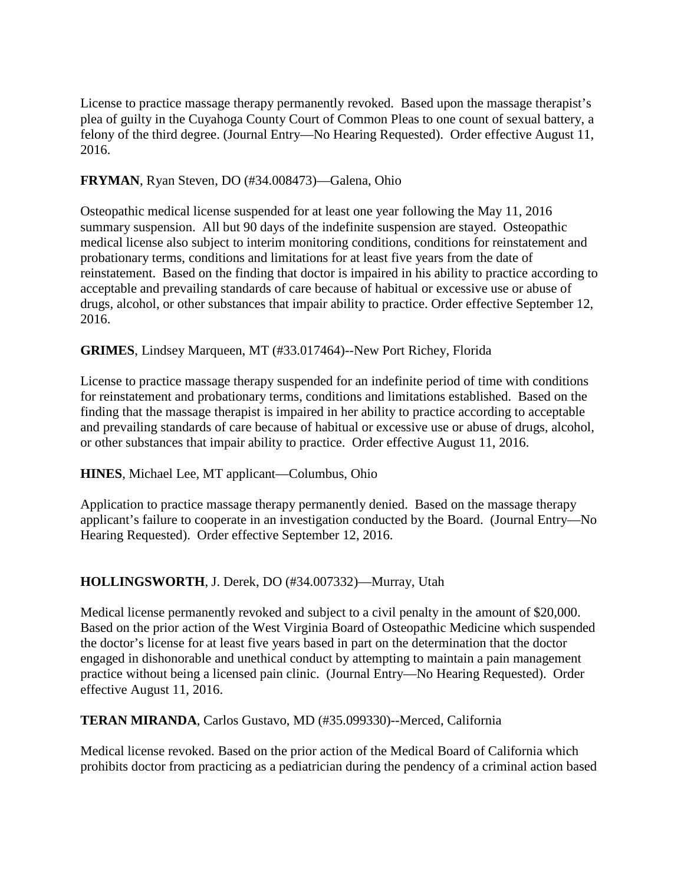License to practice massage therapy permanently revoked. Based upon the massage therapist's plea of guilty in the Cuyahoga County Court of Common Pleas to one count of sexual battery, a felony of the third degree. (Journal Entry—No Hearing Requested). Order effective August 11, 2016.

#### **FRYMAN**, Ryan Steven, DO (#34.008473)—Galena, Ohio

Osteopathic medical license suspended for at least one year following the May 11, 2016 summary suspension. All but 90 days of the indefinite suspension are stayed. Osteopathic medical license also subject to interim monitoring conditions, conditions for reinstatement and probationary terms, conditions and limitations for at least five years from the date of reinstatement. Based on the finding that doctor is impaired in his ability to practice according to acceptable and prevailing standards of care because of habitual or excessive use or abuse of drugs, alcohol, or other substances that impair ability to practice. Order effective September 12, 2016.

### **GRIMES**, Lindsey Marqueen, MT (#33.017464)--New Port Richey, Florida

License to practice massage therapy suspended for an indefinite period of time with conditions for reinstatement and probationary terms, conditions and limitations established. Based on the finding that the massage therapist is impaired in her ability to practice according to acceptable and prevailing standards of care because of habitual or excessive use or abuse of drugs, alcohol, or other substances that impair ability to practice. Order effective August 11, 2016.

### **HINES**, Michael Lee, MT applicant—Columbus, Ohio

Application to practice massage therapy permanently denied. Based on the massage therapy applicant's failure to cooperate in an investigation conducted by the Board. (Journal Entry—No Hearing Requested). Order effective September 12, 2016.

### **HOLLINGSWORTH**, J. Derek, DO (#34.007332)—Murray, Utah

Medical license permanently revoked and subject to a civil penalty in the amount of \$20,000. Based on the prior action of the West Virginia Board of Osteopathic Medicine which suspended the doctor's license for at least five years based in part on the determination that the doctor engaged in dishonorable and unethical conduct by attempting to maintain a pain management practice without being a licensed pain clinic. (Journal Entry—No Hearing Requested). Order effective August 11, 2016.

#### **TERAN MIRANDA**, Carlos Gustavo, MD (#35.099330)--Merced, California

Medical license revoked. Based on the prior action of the Medical Board of California which prohibits doctor from practicing as a pediatrician during the pendency of a criminal action based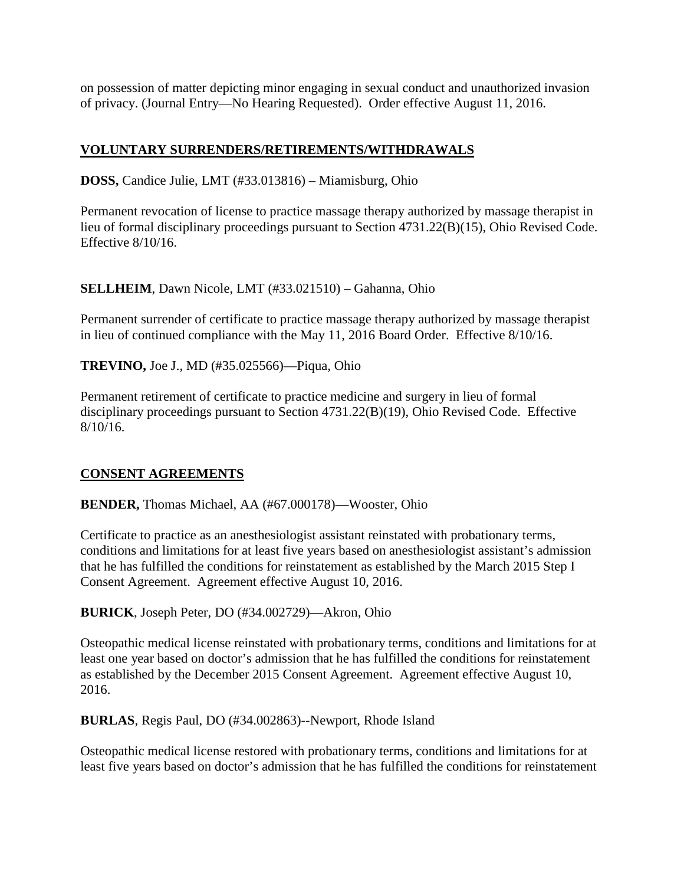on possession of matter depicting minor engaging in sexual conduct and unauthorized invasion of privacy. (Journal Entry—No Hearing Requested). Order effective August 11, 2016.

## **VOLUNTARY SURRENDERS/RETIREMENTS/WITHDRAWALS**

**DOSS,** Candice Julie, LMT (#33.013816) – Miamisburg, Ohio

Permanent revocation of license to practice massage therapy authorized by massage therapist in lieu of formal disciplinary proceedings pursuant to Section 4731.22(B)(15), Ohio Revised Code. Effective 8/10/16.

**SELLHEIM**, Dawn Nicole, LMT (#33.021510) – Gahanna, Ohio

Permanent surrender of certificate to practice massage therapy authorized by massage therapist in lieu of continued compliance with the May 11, 2016 Board Order. Effective 8/10/16.

**TREVINO,** Joe J., MD (#35.025566)—Piqua, Ohio

Permanent retirement of certificate to practice medicine and surgery in lieu of formal disciplinary proceedings pursuant to Section 4731.22(B)(19), Ohio Revised Code. Effective 8/10/16.

### **CONSENT AGREEMENTS**

**BENDER,** Thomas Michael, AA (#67.000178)—Wooster, Ohio

Certificate to practice as an anesthesiologist assistant reinstated with probationary terms, conditions and limitations for at least five years based on anesthesiologist assistant's admission that he has fulfilled the conditions for reinstatement as established by the March 2015 Step I Consent Agreement. Agreement effective August 10, 2016.

**BURICK**, Joseph Peter, DO (#34.002729)—Akron, Ohio

Osteopathic medical license reinstated with probationary terms, conditions and limitations for at least one year based on doctor's admission that he has fulfilled the conditions for reinstatement as established by the December 2015 Consent Agreement. Agreement effective August 10, 2016.

**BURLAS**, Regis Paul, DO (#34.002863)--Newport, Rhode Island

Osteopathic medical license restored with probationary terms, conditions and limitations for at least five years based on doctor's admission that he has fulfilled the conditions for reinstatement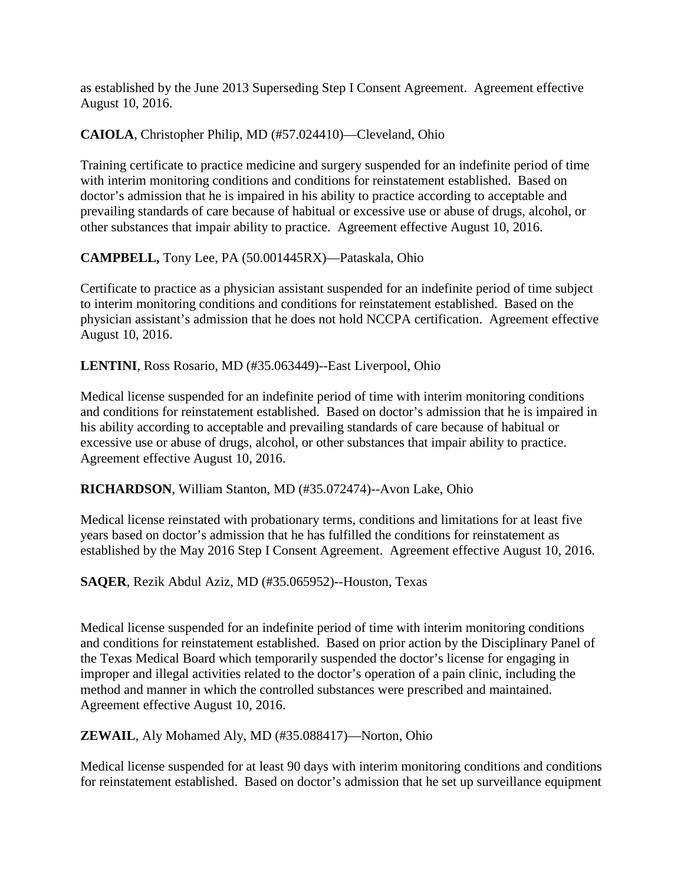as established by the June 2013 Superseding Step I Consent Agreement. Agreement effective August 10, 2016.

**CAIOLA**, Christopher Philip, MD (#57.024410)—Cleveland, Ohio

Training certificate to practice medicine and surgery suspended for an indefinite period of time with interim monitoring conditions and conditions for reinstatement established. Based on doctor's admission that he is impaired in his ability to practice according to acceptable and prevailing standards of care because of habitual or excessive use or abuse of drugs, alcohol, or other substances that impair ability to practice. Agreement effective August 10, 2016.

## **CAMPBELL,** Tony Lee, PA (50.001445RX)—Pataskala, Ohio

Certificate to practice as a physician assistant suspended for an indefinite period of time subject to interim monitoring conditions and conditions for reinstatement established. Based on the physician assistant's admission that he does not hold NCCPA certification. Agreement effective August 10, 2016.

### **LENTINI**, Ross Rosario, MD (#35.063449)--East Liverpool, Ohio

Medical license suspended for an indefinite period of time with interim monitoring conditions and conditions for reinstatement established. Based on doctor's admission that he is impaired in his ability according to acceptable and prevailing standards of care because of habitual or excessive use or abuse of drugs, alcohol, or other substances that impair ability to practice. Agreement effective August 10, 2016.

#### **RICHARDSON**, William Stanton, MD (#35.072474)--Avon Lake, Ohio

Medical license reinstated with probationary terms, conditions and limitations for at least five years based on doctor's admission that he has fulfilled the conditions for reinstatement as established by the May 2016 Step I Consent Agreement. Agreement effective August 10, 2016.

**SAQER**, Rezik Abdul Aziz, MD (#35.065952)--Houston, Texas

Medical license suspended for an indefinite period of time with interim monitoring conditions and conditions for reinstatement established. Based on prior action by the Disciplinary Panel of the Texas Medical Board which temporarily suspended the doctor's license for engaging in improper and illegal activities related to the doctor's operation of a pain clinic, including the method and manner in which the controlled substances were prescribed and maintained. Agreement effective August 10, 2016.

**ZEWAIL**, Aly Mohamed Aly, MD (#35.088417)—Norton, Ohio

Medical license suspended for at least 90 days with interim monitoring conditions and conditions for reinstatement established. Based on doctor's admission that he set up surveillance equipment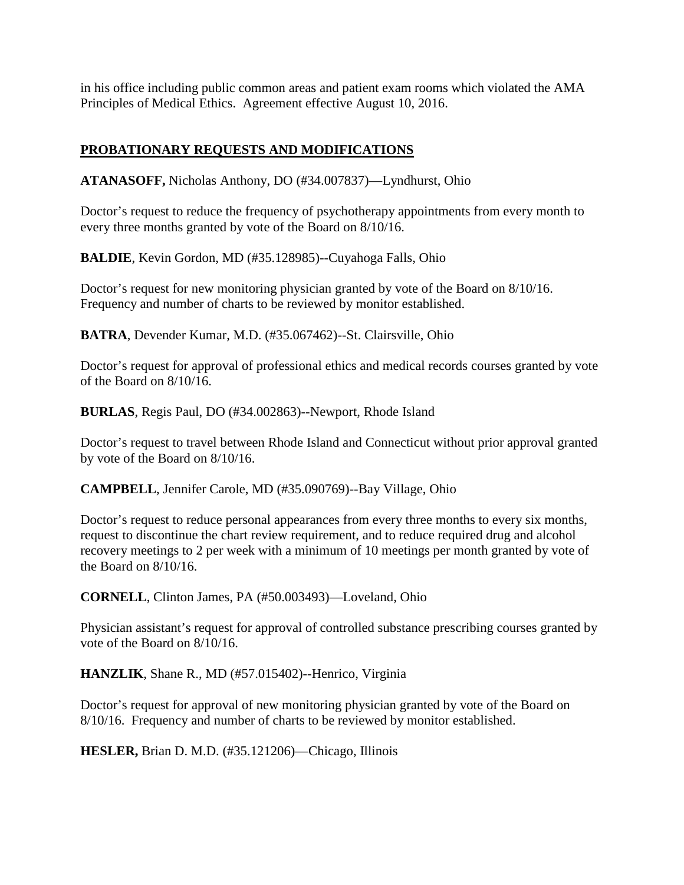in his office including public common areas and patient exam rooms which violated the AMA Principles of Medical Ethics. Agreement effective August 10, 2016.

# **PROBATIONARY REQUESTS AND MODIFICATIONS**

**ATANASOFF,** Nicholas Anthony, DO (#34.007837)—Lyndhurst, Ohio

Doctor's request to reduce the frequency of psychotherapy appointments from every month to every three months granted by vote of the Board on 8/10/16.

**BALDIE**, Kevin Gordon, MD (#35.128985)--Cuyahoga Falls, Ohio

Doctor's request for new monitoring physician granted by vote of the Board on 8/10/16. Frequency and number of charts to be reviewed by monitor established.

**BATRA**, Devender Kumar, M.D. (#35.067462)--St. Clairsville, Ohio

Doctor's request for approval of professional ethics and medical records courses granted by vote of the Board on 8/10/16.

**BURLAS**, Regis Paul, DO (#34.002863)--Newport, Rhode Island

Doctor's request to travel between Rhode Island and Connecticut without prior approval granted by vote of the Board on 8/10/16.

**CAMPBELL**, Jennifer Carole, MD (#35.090769)--Bay Village, Ohio

Doctor's request to reduce personal appearances from every three months to every six months, request to discontinue the chart review requirement, and to reduce required drug and alcohol recovery meetings to 2 per week with a minimum of 10 meetings per month granted by vote of the Board on 8/10/16.

**CORNELL**, Clinton James, PA (#50.003493)—Loveland, Ohio

Physician assistant's request for approval of controlled substance prescribing courses granted by vote of the Board on 8/10/16.

**HANZLIK**, Shane R., MD (#57.015402)--Henrico, Virginia

Doctor's request for approval of new monitoring physician granted by vote of the Board on 8/10/16. Frequency and number of charts to be reviewed by monitor established.

**HESLER,** Brian D. M.D. (#35.121206)—Chicago, Illinois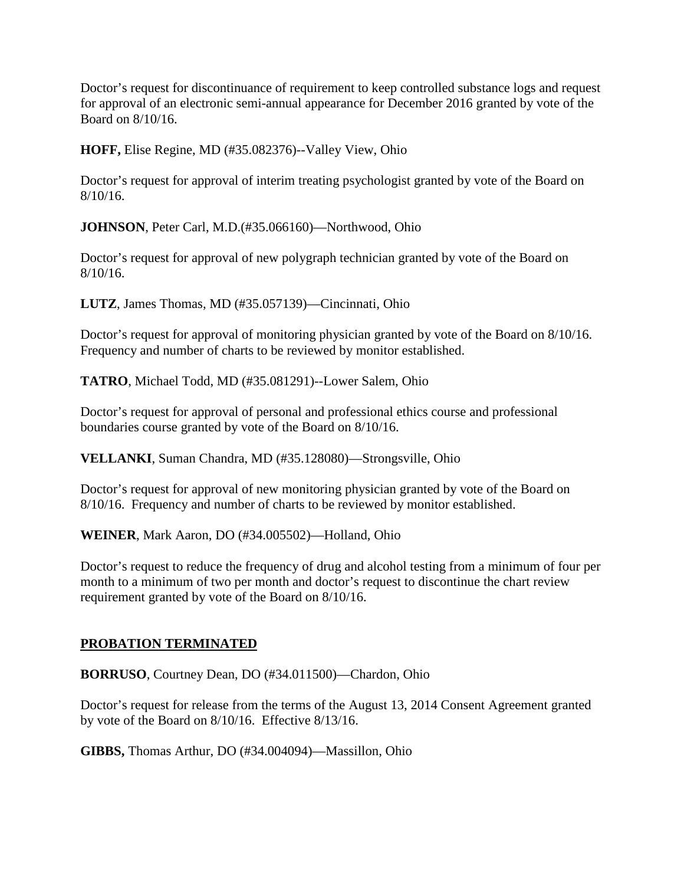Doctor's request for discontinuance of requirement to keep controlled substance logs and request for approval of an electronic semi-annual appearance for December 2016 granted by vote of the Board on 8/10/16.

**HOFF,** Elise Regine, MD (#35.082376)--Valley View, Ohio

Doctor's request for approval of interim treating psychologist granted by vote of the Board on 8/10/16.

**JOHNSON**, Peter Carl, M.D.(#35.066160)—Northwood, Ohio

Doctor's request for approval of new polygraph technician granted by vote of the Board on 8/10/16.

**LUTZ**, James Thomas, MD (#35.057139)—Cincinnati, Ohio

Doctor's request for approval of monitoring physician granted by vote of the Board on 8/10/16. Frequency and number of charts to be reviewed by monitor established.

**TATRO**, Michael Todd, MD (#35.081291)--Lower Salem, Ohio

Doctor's request for approval of personal and professional ethics course and professional boundaries course granted by vote of the Board on 8/10/16.

**VELLANKI**, Suman Chandra, MD (#35.128080)—Strongsville, Ohio

Doctor's request for approval of new monitoring physician granted by vote of the Board on 8/10/16. Frequency and number of charts to be reviewed by monitor established.

**WEINER**, Mark Aaron, DO (#34.005502)—Holland, Ohio

Doctor's request to reduce the frequency of drug and alcohol testing from a minimum of four per month to a minimum of two per month and doctor's request to discontinue the chart review requirement granted by vote of the Board on 8/10/16.

### **PROBATION TERMINATED**

**BORRUSO**, Courtney Dean, DO (#34.011500)—Chardon, Ohio

Doctor's request for release from the terms of the August 13, 2014 Consent Agreement granted by vote of the Board on 8/10/16. Effective 8/13/16.

**GIBBS,** Thomas Arthur, DO (#34.004094)—Massillon, Ohio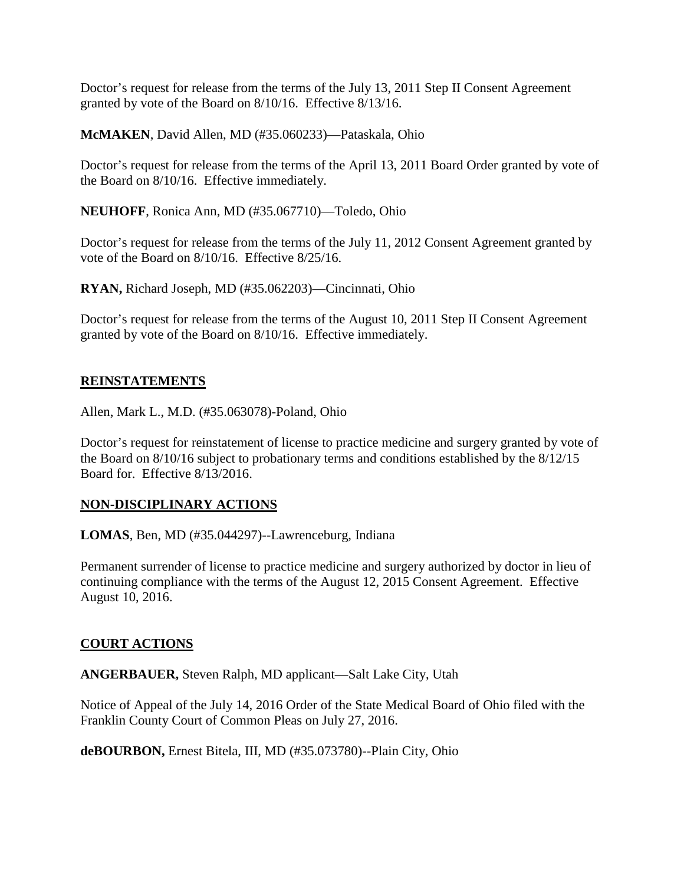Doctor's request for release from the terms of the July 13, 2011 Step II Consent Agreement granted by vote of the Board on 8/10/16. Effective 8/13/16.

**McMAKEN**, David Allen, MD (#35.060233)—Pataskala, Ohio

Doctor's request for release from the terms of the April 13, 2011 Board Order granted by vote of the Board on 8/10/16. Effective immediately.

**NEUHOFF**, Ronica Ann, MD (#35.067710)—Toledo, Ohio

Doctor's request for release from the terms of the July 11, 2012 Consent Agreement granted by vote of the Board on 8/10/16. Effective 8/25/16.

**RYAN,** Richard Joseph, MD (#35.062203)—Cincinnati, Ohio

Doctor's request for release from the terms of the August 10, 2011 Step II Consent Agreement granted by vote of the Board on 8/10/16. Effective immediately.

### **REINSTATEMENTS**

Allen, Mark L., M.D. (#35.063078)-Poland, Ohio

Doctor's request for reinstatement of license to practice medicine and surgery granted by vote of the Board on 8/10/16 subject to probationary terms and conditions established by the 8/12/15 Board for. Effective 8/13/2016.

### **NON-DISCIPLINARY ACTIONS**

**LOMAS**, Ben, MD (#35.044297)--Lawrenceburg, Indiana

Permanent surrender of license to practice medicine and surgery authorized by doctor in lieu of continuing compliance with the terms of the August 12, 2015 Consent Agreement. Effective August 10, 2016.

### **COURT ACTIONS**

**ANGERBAUER,** Steven Ralph, MD applicant—Salt Lake City, Utah

Notice of Appeal of the July 14, 2016 Order of the State Medical Board of Ohio filed with the Franklin County Court of Common Pleas on July 27, 2016.

**deBOURBON,** Ernest Bitela, III, MD (#35.073780)--Plain City, Ohio